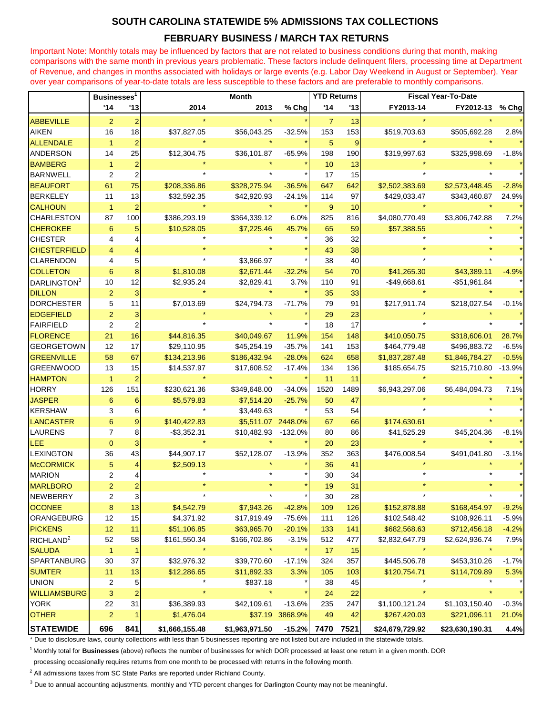## **SOUTH CAROLINA STATEWIDE 5% ADMISSIONS TAX COLLECTIONS**

## **FEBRUARY BUSINESS / MARCH TAX RETURNS**

Important Note: Monthly totals may be influenced by factors that are not related to business conditions during that month, making comparisons with the same month in previous years problematic. These factors include delinquent filers, processing time at Department of Revenue, and changes in months associated with holidays or large events (e.g. Labor Day Weekend in August or September). Year over year comparisons of year-to-date totals are less susceptible to these factors and are preferable to monthly comparisons.

|                         | Businesses <sup>1</sup> |                         | <b>Month</b>   |                     |          | <b>YTD Returns</b> |      | <b>Fiscal Year-To-Date</b> |                 |          |
|-------------------------|-------------------------|-------------------------|----------------|---------------------|----------|--------------------|------|----------------------------|-----------------|----------|
|                         | '14                     | '13                     | 2014           | 2013                | % Chg    | '14                | '13  | FY2013-14                  | FY2012-13       | % Chg    |
| <b>ABBEVILLE</b>        | 2                       | $\overline{2}$          |                |                     |          | $\overline{7}$     | 13   |                            |                 |          |
| <b>AIKEN</b>            | 16                      | 18                      | \$37,827.05    | \$56,043.25         | $-32.5%$ | 153                | 153  | \$519,703.63               | \$505,692.28    | 2.8%     |
| <b>ALLENDALE</b>        | $\overline{1}$          | $\overline{2}$          |                |                     |          | 5                  | 9    |                            |                 |          |
| <b>ANDERSON</b>         | 14                      | 25                      | \$12,304.75    | \$36,101.87         | $-65.9%$ | 198                | 190  | \$319,997.63               | \$325,998.69    | $-1.8%$  |
| <b>BAMBERG</b>          | $\overline{1}$          | $\overline{\mathbf{c}}$ |                |                     |          | 10                 | 13   |                            |                 |          |
| <b>BARNWELL</b>         | $\overline{2}$          | $\overline{c}$          |                |                     |          | 17                 | 15   |                            |                 |          |
| <b>BEAUFORT</b>         | 61                      | 75                      | \$208,336.86   | \$328,275.94        | $-36.5%$ | 647                | 642  | \$2,502,383.69             | \$2,573,448.45  | $-2.8%$  |
| <b>BERKELEY</b>         | 11                      | 13                      | \$32,592.35    | \$42,920.93         | $-24.1%$ | 114                | 97   | \$429,033.47               | \$343,460.87    | 24.9%    |
| <b>CALHOUN</b>          | $\overline{1}$          | $\overline{2}$          |                |                     |          | 9                  | 10   |                            |                 |          |
| <b>CHARLESTON</b>       | 87                      | 100                     | \$386,293.19   | \$364,339.12        | 6.0%     | 825                | 816  | \$4,080,770.49             | \$3,806,742.88  | 7.2%     |
| <b>CHEROKEE</b>         | $6\phantom{1}6$         | 5                       | \$10,528.05    | \$7,225.46          | 45.7%    | 65                 | 59   | \$57,388.55                |                 |          |
| <b>CHESTER</b>          | 4                       |                         |                |                     |          | 36                 | 32   |                            |                 |          |
| <b>CHESTERFIELD</b>     | 4                       |                         |                |                     |          | 43                 | 38   |                            |                 |          |
| <b>CLARENDON</b>        | 4                       | 5                       |                | \$3,866.97          |          | 38                 | 40   |                            |                 |          |
| <b>COLLETON</b>         | $6\phantom{1}6$         | 8                       | \$1,810.08     | \$2,671.44          | $-32.2%$ | 54                 | 70   | \$41,265.30                | \$43,389.11     | $-4.9%$  |
| DARLINGTON <sup>3</sup> | 10                      | 12                      | \$2,935.24     | \$2,829.41          | 3.7%     | 110                | 91   | $-$ \$49,668.61            | $-$51,961.84$   |          |
| <b>DILLON</b>           | $\overline{c}$          | 3                       |                |                     |          | 35                 | 33   |                            |                 |          |
| <b>DORCHESTER</b>       | 5                       | 11                      | \$7,013.69     | \$24,794.73         | $-71.7%$ | 79                 | 91   | \$217,911.74               | \$218,027.54    | $-0.1%$  |
| <b>EDGEFIELD</b>        | $\overline{a}$          | 3                       |                |                     |          | 29                 | 23   |                            |                 |          |
| <b>FAIRFIELD</b>        | $\overline{2}$          | $\overline{2}$          |                |                     |          | 18                 | 17   |                            |                 |          |
| <b>FLORENCE</b>         | 21                      | 16                      | \$44,816.35    | \$40,049.67         | 11.9%    | 154                | 148  | \$410,050.75               | \$318,606.01    | 28.7%    |
| <b>GEORGETOWN</b>       | 12                      | 17                      | \$29,110.95    | \$45,254.19         | $-35.7%$ | 141                | 153  | \$464,779.48               | \$496,883.72    | $-6.5%$  |
| <b>GREENVILLE</b>       | 58                      | 67                      | \$134,213.96   | \$186,432.94        | $-28.0%$ | 624                | 658  | \$1,837,287.48             | \$1,846,784.27  | $-0.5%$  |
| <b>GREENWOOD</b>        | 13                      | 15                      | \$14,537.97    | \$17,608.52         | $-17.4%$ | 134                | 136  | \$185,654.75               | \$215,710.80    | $-13.9%$ |
| <b>HAMPTON</b>          | $\overline{1}$          | $\overline{2}$          |                |                     |          | 11                 | 11   |                            |                 |          |
| <b>HORRY</b>            | 126                     | 151                     | \$230,621.36   | \$349,648.00        | $-34.0%$ | 1520               | 1489 | \$6,943,297.06             | \$6,484,094.73  | 7.1%     |
| <b>JASPER</b>           | $6\phantom{1}6$         | 6                       | \$5,579.83     | \$7,514.20          | $-25.7%$ | 50                 | 47   |                            |                 |          |
| <b>KERSHAW</b>          | 3                       | 6                       |                | \$3,449.63          |          | 53                 | 54   |                            |                 |          |
| <b>LANCASTER</b>        | $6\phantom{1}6$         | 9                       | \$140,422.83   | \$5,511.07 2448.0%  |          | 67                 | 66   | \$174,630.61               |                 |          |
| <b>LAURENS</b>          | 7                       | 8                       | $-$ \$3,352.31 | \$10,482.93 -132.0% |          | 80                 | 86   | \$41,525.29                | \$45,204.36     | $-8.1%$  |
| LEE                     | $\mathbf{0}$            | 3                       |                |                     |          | 20                 | 23   |                            |                 |          |
| LEXINGTON               | 36                      | 43                      | \$44,907.17    | \$52,128.07         | $-13.9%$ | 352                | 363  | \$476,008.54               | \$491,041.80    | $-3.1%$  |
| <b>McCORMICK</b>        | 5                       | 4                       | \$2,509.13     |                     |          | 36                 | 41   |                            |                 |          |
| <b>MARION</b>           | 2                       |                         |                |                     |          | 30                 | 34   |                            |                 |          |
| <b>MARLBORO</b>         | 2                       |                         |                |                     |          | 19                 | 31   |                            |                 |          |
| <b>NEWBERRY</b>         | $\overline{\mathbf{c}}$ | 3                       |                |                     |          | 30                 | 28   |                            |                 |          |
| <b>OCONEE</b>           | 8                       | 13                      | \$4,542.79     | \$7,943.26          | $-42.8%$ | 109                | 126  | \$152,878.88               | \$168,454.97    | $-9.2%$  |
| ORANGEBURG              | 12                      | 15                      | \$4,371.92     | \$17,919.49         | $-75.6%$ | 111                | 126  | \$102,548.42               | \$108,926.11    | $-5.9%$  |
| <b>PICKENS</b>          | 12                      | 11                      | \$51,106.85    | \$63,965.70         | $-20.1%$ | 133                | 141  | \$682,568.63               | \$712,456.18    | $-4.2%$  |
| RICHLAND <sup>2</sup>   | 52                      | 58                      | \$161,550.34   | \$166,702.86        | $-3.1%$  | 512                | 477  | \$2,832,647.79             | \$2,624,936.74  | 7.9%     |
| <b>SALUDA</b>           | $\mathbf{1}$            |                         |                |                     |          | 17                 | 15   |                            |                 |          |
| <b>SPARTANBURG</b>      | 30                      | 37                      | \$32,976.32    | \$39,770.60         | $-17.1%$ | 324                | 357  | \$445,506.78               | \$453,310.26    | $-1.7%$  |
| <b>SUMTER</b>           | 11                      | 13                      | \$12,286.65    | \$11,892.33         | 3.3%     | 105                | 103  | \$120,754.71               | \$114,709.89    | 5.3%     |
| <b>UNION</b>            | 2                       | 5                       |                | \$837.18            |          | 38                 | 45   |                            |                 |          |
| <b>WILLIAMSBURG</b>     | 3                       | $\overline{c}$          |                |                     |          | 24                 | 22   |                            |                 |          |
| <b>YORK</b>             | 22                      | 31                      | \$36,389.93    | \$42,109.61         | $-13.6%$ | 235                | 247  | \$1,100,121.24             | \$1,103,150.40  | $-0.3%$  |
| <b>OTHER</b>            | $\overline{c}$          |                         | \$1,476.04     | \$37.19             | 3868.9%  | 49                 | 42   | \$267,420.03               | \$221,096.11    | 21.0%    |
| <b>STATEWIDE</b>        | 696                     | 841                     | \$1,666,155.48 | \$1,963,971.50      | $-15.2%$ | 7470               | 7521 | \$24,679,729.92            | \$23,630,190.31 | 4.4%     |

\* Due to disclosure laws, county collections with less than 5 businesses reporting are not listed but are included in the statewide totals.

<sup>1</sup>Monthly total for **Businesses** (above) reflects the number of businesses for which DOR processed at least one return in a given month. DOR

processing occasionally requires returns from one month to be processed with returns in the following month.

<sup>2</sup> All admissions taxes from SC State Parks are reported under Richland County.

<sup>3</sup> Due to annual accounting adjustments, monthly and YTD percent changes for Darlington County may not be meaningful.